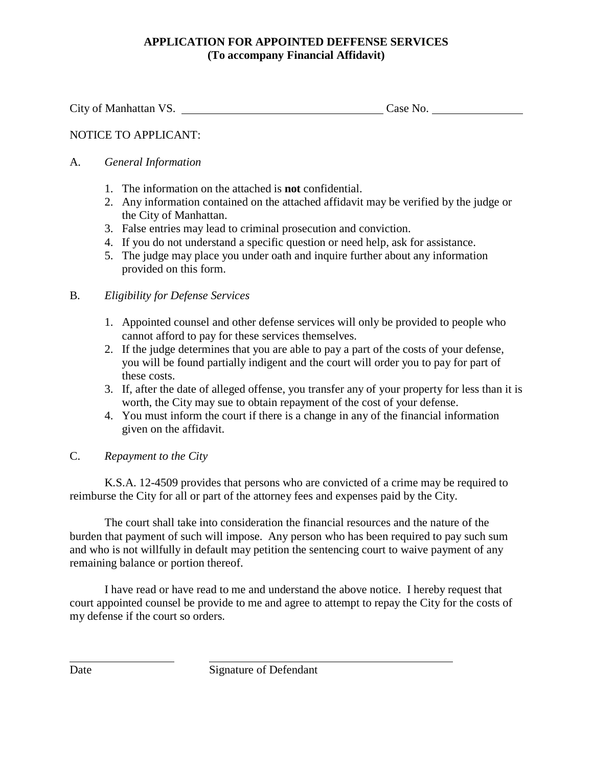# **APPLICATION FOR APPOINTED DEFFENSE SERVICES (To accompany Financial Affidavit)**

City of Manhattan VS. Case No.

# NOTICE TO APPLICANT:

## A. *General Information*

- 1. The information on the attached is **not** confidential.
- 2. Any information contained on the attached affidavit may be verified by the judge or the City of Manhattan.
- 3. False entries may lead to criminal prosecution and conviction.
- 4. If you do not understand a specific question or need help, ask for assistance.
- 5. The judge may place you under oath and inquire further about any information provided on this form.

### B. *Eligibility for Defense Services*

- 1. Appointed counsel and other defense services will only be provided to people who cannot afford to pay for these services themselves.
- 2. If the judge determines that you are able to pay a part of the costs of your defense, you will be found partially indigent and the court will order you to pay for part of these costs.
- 3. If, after the date of alleged offense, you transfer any of your property for less than it is worth, the City may sue to obtain repayment of the cost of your defense.
- 4. You must inform the court if there is a change in any of the financial information given on the affidavit.

## C. *Repayment to the City*

K.S.A. 12-4509 provides that persons who are convicted of a crime may be required to reimburse the City for all or part of the attorney fees and expenses paid by the City.

The court shall take into consideration the financial resources and the nature of the burden that payment of such will impose. Any person who has been required to pay such sum and who is not willfully in default may petition the sentencing court to waive payment of any remaining balance or portion thereof.

 I have read or have read to me and understand the above notice. I hereby request that court appointed counsel be provide to me and agree to attempt to repay the City for the costs of my defense if the court so orders.

 $\overline{a}$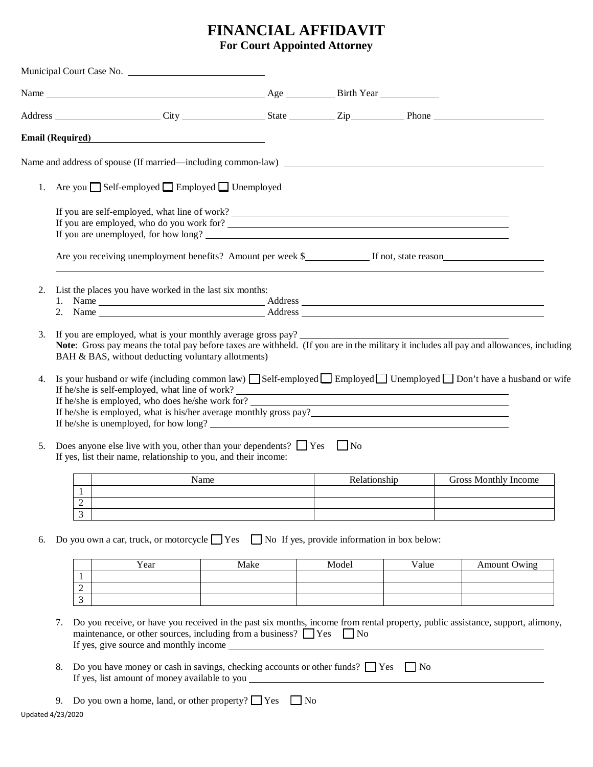# **FINANCIAL AFFIDAVIT**

**For Court Appointed Attorney**

|          |                                                                                                       |                                | Email (Required) <b>Example 2</b> and 2 and 2 and 2 and 2 and 2 and 2 and 2 and 2 and 2 and 2 and 2 and 2 and 2 and 2 and 2 and 2 and 2 and 2 and 2 and 2 and 2 and 2 and 2 and 2 and 2 and 2 and 2 and 2 and 2 and 2 and 2 and 2 a |                                                                                                                                                                                                                                                                                                                      |              |       |                      |                                                                                                                                          |  |  |  |
|----------|-------------------------------------------------------------------------------------------------------|--------------------------------|-------------------------------------------------------------------------------------------------------------------------------------------------------------------------------------------------------------------------------------|----------------------------------------------------------------------------------------------------------------------------------------------------------------------------------------------------------------------------------------------------------------------------------------------------------------------|--------------|-------|----------------------|------------------------------------------------------------------------------------------------------------------------------------------|--|--|--|
|          |                                                                                                       |                                |                                                                                                                                                                                                                                     | Name and address of spouse (If married—including common-law)                                                                                                                                                                                                                                                         |              |       |                      |                                                                                                                                          |  |  |  |
| 1.       |                                                                                                       |                                |                                                                                                                                                                                                                                     | Are you □ Self-employed □ Employed □ Unemployed                                                                                                                                                                                                                                                                      |              |       |                      |                                                                                                                                          |  |  |  |
|          |                                                                                                       |                                |                                                                                                                                                                                                                                     | If you are self-employed, what line of work?<br>If you are employed, who do you work for?<br>If you are unemployed, for how long?                                                                                                                                                                                    |              |       |                      |                                                                                                                                          |  |  |  |
|          |                                                                                                       |                                |                                                                                                                                                                                                                                     |                                                                                                                                                                                                                                                                                                                      |              |       |                      |                                                                                                                                          |  |  |  |
| 2.       |                                                                                                       |                                |                                                                                                                                                                                                                                     | List the places you have worked in the last six months:                                                                                                                                                                                                                                                              |              |       |                      |                                                                                                                                          |  |  |  |
| 3.       |                                                                                                       |                                |                                                                                                                                                                                                                                     | If you are employed, what is your monthly average gross pay?<br>BAH & BAS, without deducting voluntary allotments)                                                                                                                                                                                                   |              |       |                      | Note: Gross pay means the total pay before taxes are withheld. (If you are in the military it includes all pay and allowances, including |  |  |  |
| 4.<br>5. |                                                                                                       |                                |                                                                                                                                                                                                                                     | If he/she is self-employed, what line of work?<br>If he/she is employed, what is his/her average monthly gross pay?<br>If he/she is unemployed, for how long?<br>Does anyone else live with you, other than your dependents? $\Box$ Yes $\Box$ No<br>If yes, list their name, relationship to you, and their income: |              |       |                      | Is your husband or wife (including common law) Self-employed Employed Unemployed Don't have a husband or wife                            |  |  |  |
|          | Name                                                                                                  |                                |                                                                                                                                                                                                                                     |                                                                                                                                                                                                                                                                                                                      | Relationship |       | Gross Monthly Income |                                                                                                                                          |  |  |  |
|          |                                                                                                       | $\mathbf{1}$<br>$\overline{c}$ |                                                                                                                                                                                                                                     |                                                                                                                                                                                                                                                                                                                      |              |       |                      |                                                                                                                                          |  |  |  |
|          |                                                                                                       | 3                              |                                                                                                                                                                                                                                     |                                                                                                                                                                                                                                                                                                                      |              |       |                      |                                                                                                                                          |  |  |  |
| 6.       | Do you own a car, truck, or motorcycle $\Box$ Yes $\Box$ No If yes, provide information in box below: |                                |                                                                                                                                                                                                                                     |                                                                                                                                                                                                                                                                                                                      |              |       |                      |                                                                                                                                          |  |  |  |
|          |                                                                                                       |                                | Year                                                                                                                                                                                                                                | Make                                                                                                                                                                                                                                                                                                                 |              | Model | Value                | <b>Amount Owing</b>                                                                                                                      |  |  |  |
|          |                                                                                                       | $\overline{c}$                 |                                                                                                                                                                                                                                     |                                                                                                                                                                                                                                                                                                                      |              |       |                      |                                                                                                                                          |  |  |  |
|          |                                                                                                       | 3                              |                                                                                                                                                                                                                                     |                                                                                                                                                                                                                                                                                                                      |              |       |                      |                                                                                                                                          |  |  |  |
|          | 7.                                                                                                    |                                |                                                                                                                                                                                                                                     | maintenance, or other sources, including from a business? $\Box$ Yes $\Box$ No                                                                                                                                                                                                                                       |              |       |                      | Do you receive, or have you received in the past six months, income from rental property, public assistance, support, alimony,           |  |  |  |
|          | 8.                                                                                                    |                                | If yes, list amount of money available to you _____                                                                                                                                                                                 | Do you have money or cash in savings, checking accounts or other funds? $\Box$ Yes $\Box$ No                                                                                                                                                                                                                         |              |       |                      |                                                                                                                                          |  |  |  |
|          |                                                                                                       |                                |                                                                                                                                                                                                                                     |                                                                                                                                                                                                                                                                                                                      |              |       |                      |                                                                                                                                          |  |  |  |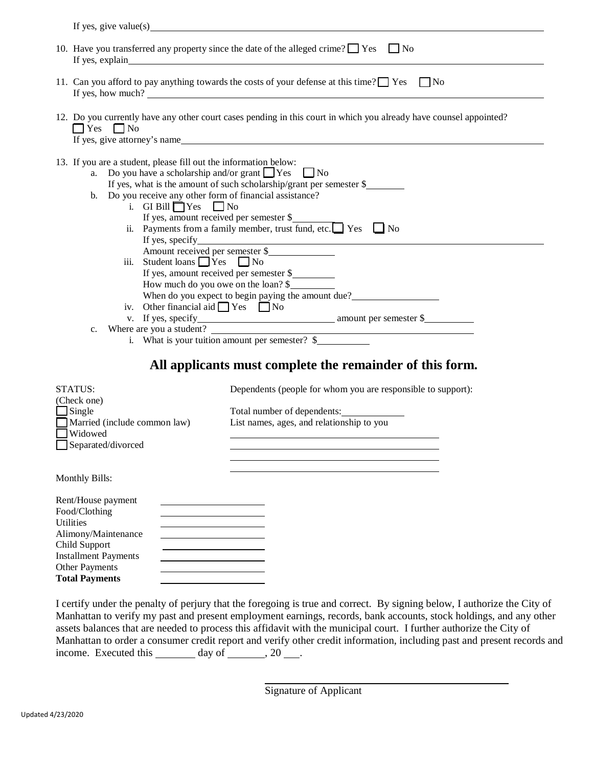| If yes, give value(s) $\qquad \qquad$ $\qquad \qquad$ $\qquad$ $\qquad \qquad$ $\qquad \qquad$ $\qquad \qquad$ $\qquad \qquad$ $\qquad \qquad$ $\qquad \qquad$ $\qquad \qquad$ $\qquad$ $\qquad \qquad$ $\qquad \qquad$ $\qquad$ $\qquad$ $\qquad$ $\qquad$ $\qquad$ $\qquad$ $\qquad$ $\qquad$ $\qquad$ $\qquad$ $\qquad$ $\qquad$ $\qquad$ $\qquad$ $\qquad$ |                                                                                                                                                                                                                                                                                                                                                                                                                                                                                                                                                                         |  |  |  |  |  |  |  |
|----------------------------------------------------------------------------------------------------------------------------------------------------------------------------------------------------------------------------------------------------------------------------------------------------------------------------------------------------------------|-------------------------------------------------------------------------------------------------------------------------------------------------------------------------------------------------------------------------------------------------------------------------------------------------------------------------------------------------------------------------------------------------------------------------------------------------------------------------------------------------------------------------------------------------------------------------|--|--|--|--|--|--|--|
| 10. Have you transferred any property since the date of the alleged crime? $\Box$ Yes $\Box$ No                                                                                                                                                                                                                                                                |                                                                                                                                                                                                                                                                                                                                                                                                                                                                                                                                                                         |  |  |  |  |  |  |  |
| 11. Can you afford to pay anything towards the costs of your defense at this time? $\Box$ Yes $\Box$ No<br>If yes, how much?                                                                                                                                                                                                                                   |                                                                                                                                                                                                                                                                                                                                                                                                                                                                                                                                                                         |  |  |  |  |  |  |  |
| 12. Do you currently have any other court cases pending in this court in which you already have counsel appointed?<br>$\Box$ Yes $\Box$ No<br>If yes, give attorney's name                                                                                                                                                                                     |                                                                                                                                                                                                                                                                                                                                                                                                                                                                                                                                                                         |  |  |  |  |  |  |  |
| 13. If you are a student, please fill out the information below:<br>a. Do you have a scholarship and/or grant $\Box$ Yes $\Box$ No<br>b. Do you receive any other form of financial assistance?<br>i. GI Bill $\Box$ Yes $\Box$ No<br>iii. Student loans $\Box$ Yes $\Box$ No<br>iv. Other financial aid $\Box$ Yes $\Box$ No<br>$c_{\cdot}$                   | If yes, what is the amount of such scholarship/grant per semester $\frac{1}{2}$<br>If yes, amount received per semester \$<br>ii. Payments from a family member, trust fund, etc. Yes<br>$\Box$ No<br>If yes, specify<br>Amount received per semester \$<br>If yes, amount received per semester \$<br>How much do you owe on the loan? \$<br>When do you expect to begin paying the amount due?<br>v. If yes, specify amount per semester \$<br>i. What is your tuition amount per semester? $\frac{1}{2}$<br>All applicants must complete the remainder of this form. |  |  |  |  |  |  |  |
|                                                                                                                                                                                                                                                                                                                                                                |                                                                                                                                                                                                                                                                                                                                                                                                                                                                                                                                                                         |  |  |  |  |  |  |  |
| (Check one)                                                                                                                                                                                                                                                                                                                                                    |                                                                                                                                                                                                                                                                                                                                                                                                                                                                                                                                                                         |  |  |  |  |  |  |  |
| $\Box$ Single                                                                                                                                                                                                                                                                                                                                                  | Total number of dependents:                                                                                                                                                                                                                                                                                                                                                                                                                                                                                                                                             |  |  |  |  |  |  |  |
|                                                                                                                                                                                                                                                                                                                                                                |                                                                                                                                                                                                                                                                                                                                                                                                                                                                                                                                                                         |  |  |  |  |  |  |  |
|                                                                                                                                                                                                                                                                                                                                                                |                                                                                                                                                                                                                                                                                                                                                                                                                                                                                                                                                                         |  |  |  |  |  |  |  |
| STATUS:<br>Married (include common law)<br>Widowed<br>Separated/divorced                                                                                                                                                                                                                                                                                       | Dependents (people for whom you are responsible to support):<br>List names, ages, and relationship to you                                                                                                                                                                                                                                                                                                                                                                                                                                                               |  |  |  |  |  |  |  |

Monthly Bills:

| Rent/House payment          |  |
|-----------------------------|--|
| Food/Clothing               |  |
| <b>Utilities</b>            |  |
| Alimony/Maintenance         |  |
| Child Support               |  |
| <b>Installment Payments</b> |  |
| <b>Other Payments</b>       |  |
| <b>Total Payments</b>       |  |

I certify under the penalty of perjury that the foregoing is true and correct. By signing below, I authorize the City of Manhattan to verify my past and present employment earnings, records, bank accounts, stock holdings, and any other assets balances that are needed to process this affidavit with the municipal court. I further authorize the City of Manhattan to order a consumer credit report and verify other credit information, including past and present records and income. Executed this  $\_\_\_\_\_\$  day of  $\_\_\_\_\$ , 20  $\_\_\_\_\$ .